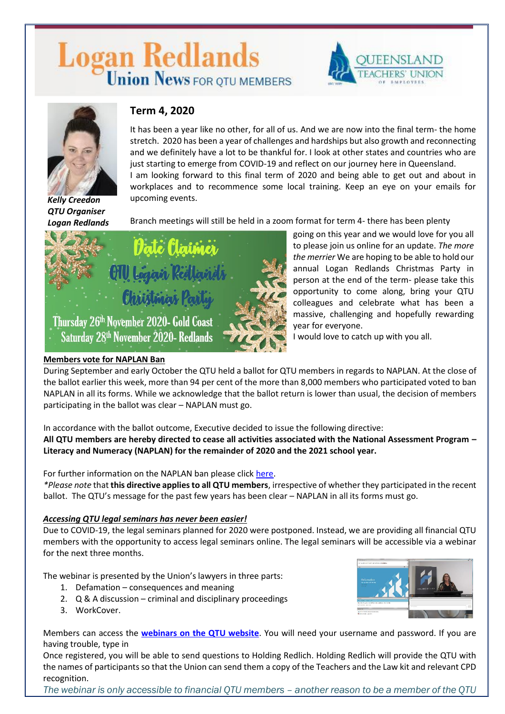# Logan Redlands



going on this year and we would love for you all to please join us online for an update. *The more the merrier* We are hoping to be able to hold our annual Logan Redlands Christmas Party in person at the end of the term- please take this



*Kelly Creedon QTU Organiser Logan Redlands*

## **Term 4, 2020**

It has been a year like no other, for all of us. And we are now into the final term- the home stretch. 2020 has been a year of challenges and hardships but also growth and reconnecting and we definitely have a lot to be thankful for. I look at other states and countries who are just starting to emerge from COVID-19 and reflect on our journey here in Queensland. I am looking forward to this final term of 2020 and being able to get out and about in workplaces and to recommence some local training. Keep an eye on your emails for upcoming events.

Branch meetings will still be held in a zoom format for term 4- there has been plenty



#### opportunity to come along, bring your QTU colleagues and celebrate what has been a massive, challenging and hopefully rewarding year for everyone. I would love to catch up with you all.

**Members vote for NAPLAN Ban**

During September and early October the QTU held a ballot for QTU members in regards to NAPLAN. At the close of the ballot earlier this week, more than 94 per cent of the more than 8,000 members who participated voted to ban NAPLAN in all its forms. While we acknowledge that the ballot return is lower than usual, the decision of members participating in the ballot was clear – NAPLAN must go.

In accordance with the ballot outcome, Executive decided to issue the following directive:

**All QTU members are hereby directed to cease all activities associated with the National Assessment Program – Literacy and Numeracy (NAPLAN) for the remainder of 2020 and the 2021 school year.**

For further information on the NAPLAN ban please clic[k here.](https://www.qtu.asn.au/nflash4320)

*\*Please note* that **this directive applies to all QTU members**, irrespective of whether they participated in the recent ballot. The QTU's message for the past few years has been clear – NAPLAN in all its forms must go.

### *Accessing QTU legal seminars has never been easier!*

Due to COVID-19, the legal seminars planned for 2020 were postponed. Instead, we are providing all financial QTU members with the opportunity to access legal seminars online. The legal seminars will be accessible via a webinar for the next three months.

The webinar is presented by the Union's lawyers in three parts:

- 1. Defamation consequences and meaning
- 2. Q & A discussion criminal and disciplinary proceedings
- 3. WorkCover.



Members can access the **[webinars on the QTU website](http://www.qtu.asn.au/legal-seminars)**. You will need your username and password. If you are having trouble, type in

Once registered, you will be able to send questions to Holding Redlich. Holding Redlich will provide the QTU with the names of participants so that the Union can send them a copy of the Teachers and the Law kit and relevant CPD recognition.

*The webinar is only accessible to financial QTU members – another reason to be a member of the QTU*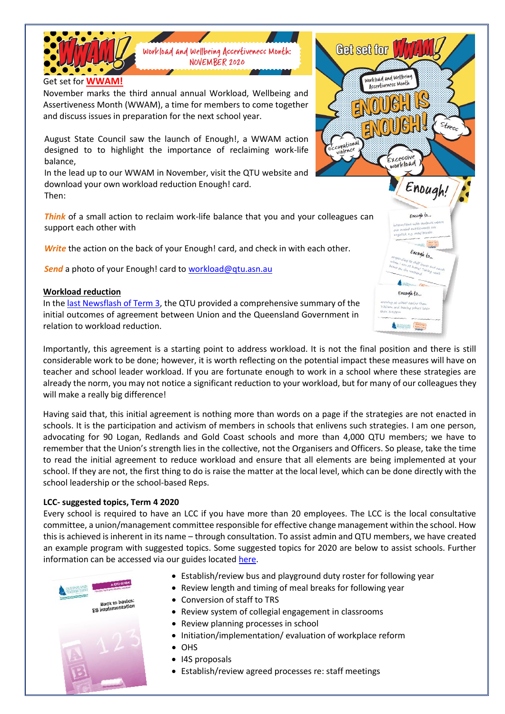

ENC

 $OCCIV$ EXC workload

Enough!

Francah to.

Enough to.

 $a$ ah  $t$ o...

**PARTICULARE PARKE** 

ccuvationa

 $s_{\text{t}res_{\text{s}}}$ 

Assertiveness Month (WWAM), a time for members to come together and discuss issues in preparation for the next school year.

August State Council saw the launch of Enough!, a WWAM action designed to to highlight the importance of reclaiming work-life balance,

In the lead up to our WWAM in November, visit the QTU website and download your own workload reduction Enough! card. Then:

*Think* of a small action to reclaim work-life balance that you and your colleagues can support each other with

**Write** the action on the back of your Enough! card, and check in with each other.

*Send* a photo of your Enough! card to [workload@qtu.asn.au](mailto:workload@qtu.asn.au)

#### **Workload reduction**

In the [last Newsflash of Term 3,](https://www.qtu.asn.au/application/files/4415/9858/5152/Nflash_37-20.pdf) the QTU provided a comprehensive summary of the initial outcomes of agreement between Union and the Queensland Government in relation to workload reduction.

Importantly, this agreement is a starting point to address workload. It is not the final position and there is still considerable work to be done; however, it is worth reflecting on the potential impact these measures will have on teacher and school leader workload. If you are fortunate enough to work in a school where these strategies are already the norm, you may not notice a significant reduction to your workload, but for many of our colleagues they will make a really big difference!

Having said that, this initial agreement is nothing more than words on a page if the strategies are not enacted in schools. It is the participation and activism of members in schools that enlivens such strategies. I am one person, advocating for 90 Logan, Redlands and Gold Coast schools and more than 4,000 QTU members; we have to remember that the Union's strength lies in the collective, not the Organisers and Officers. So please, take the time to read the initial agreement to reduce workload and ensure that all elements are being implemented at your school. If they are not, the first thing to do is raise the matter at the local level, which can be done directly with the school leadership or the school-based Reps.

#### **LCC- suggested topics, Term 4 2020**

Every school is required to have an LCC if you have more than 20 employees. The LCC is the local consultative committee, a union/management committee responsible for effective change management within the school. How this is achieved is inherent in its name – through consultation. To assist admin and QTU members, we have created an example program with suggested topics. Some suggested topics for 2020 are below to assist schools. Further information can be accessed via our guides located [here.](https://www.qtu.asn.au/qtu-guides)



- Establish/review bus and playground duty roster for following year
- Review length and timing of meal breaks for following year
- Conversion of staff to TRS
- Review system of collegial engagement in classrooms
- Review planning processes in school
- Initiation/implementation/ evaluation of workplace reform
- OHS
- I4S proposals
- Establish/review agreed processes re: staff meetings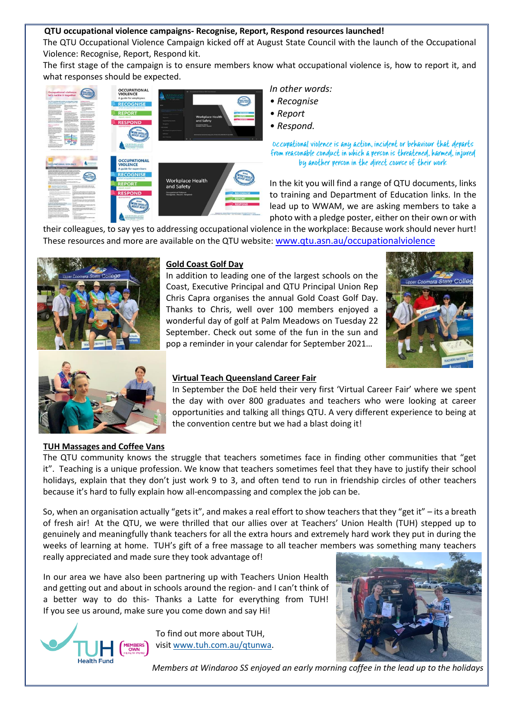#### **QTU occupational violence campaigns- Recognise, Report, Respond resources launched!**

The QTU Occupational Violence Campaign kicked off at August State Council with the launch of the Occupational Violence: Recognise, Report, Respond kit.

The first stage of the campaign is to ensure members know what occupational violence is, how to report it, and what responses should be expected.



*In other words:* 

- *Recognise*
- *Report*
- *Respond.*



In the kit you will find a range of QTU documents, links to training and Department of Education links. In the lead up to WWAM, we are asking members to take a photo with a pledge poster, either on their own or with

their colleagues, to say yes to addressing occupational violence in the workplace: Because work should never hurt! These resources and more are available on the QTU website: [www.qtu.asn.au/occupationalviolence](http://www.qtu.asn.au/occupationalviolence)



#### **Gold Coast Golf Day**

In addition to leading one of the largest schools on the Coast, Executive Principal and QTU Principal Union Rep Chris Capra organises the annual Gold Coast Golf Day. Thanks to Chris, well over 100 members enjoyed a wonderful day of golf at Palm Meadows on Tuesday 22 September. Check out some of the fun in the sun and pop a reminder in your calendar for September 2021…





#### **Virtual Teach Queensland Career Fair**

In September the DoE held their very first 'Virtual Career Fair' where we spent the day with over 800 graduates and teachers who were looking at career opportunities and talking all things QTU. A very different experience to being at the convention centre but we had a blast doing it!

#### **TUH Massages and Coffee Vans**

The QTU community knows the struggle that teachers sometimes face in finding other communities that "get it". Teaching is a unique profession. We know that teachers sometimes feel that they have to justify their school holidays, explain that they don't just work 9 to 3, and often tend to run in friendship circles of other teachers because it's hard to fully explain how all-encompassing and complex the job can be.

So, when an organisation actually "gets it", and makes a real effort to show teachers that they "get it" – its a breath of fresh air! At the QTU, we were thrilled that our allies over at Teachers' Union Health (TUH) stepped up to genuinely and meaningfully thank teachers for all the extra hours and extremely hard work they put in during the weeks of learning at home. TUH's gift of a free massage to all teacher members was something many teachers really appreciated and made sure they took advantage of!

In our area we have also been partnering up with Teachers Union Health and getting out and about in schools around the region- and I can't think of a better way to do this- Thanks a Latte for everything from TUH! If you see us around, make sure you come down and say Hi!



To find out more about TUH, visit [www.tuh.com.au/qtunwa.](http://www.tuh.com.au/qtunwa)



*Members at Windaroo SS enjoyed an early morning coffee in the lead up to the holidays*